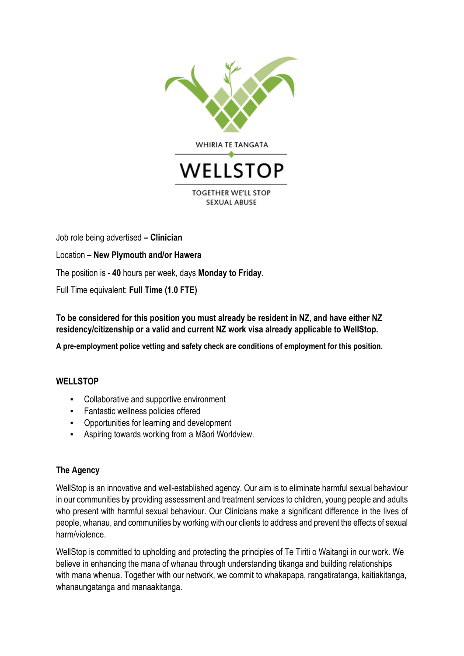

Job role being advertised **– Clinician** 

Location **– New Plymouth and/or Hawera**

The position is - **40** hours per week, days **Monday to Friday**.

Full Time equivalent: **Full Time (1.0 FTE)**

**To be considered for this position you must already be resident in NZ, and have either NZ residency/citizenship or a valid and current NZ work visa already applicable to WellStop.**

**A pre-employment police vetting and safety check are conditions of employment for this position.**

## **WELLSTOP**

- Collaborative and supportive environment
- Fantastic wellness policies offered
- Opportunities for learning and development
- Aspiring towards working from a Māori Worldview.

## **The Agency**

WellStop is an innovative and well-established agency. Our aim is to eliminate harmful sexual behaviour in our communities by providing assessment and treatment services to children, young people and adults who present with harmful sexual behaviour. Our Clinicians make a significant difference in the lives of people, whanau, and communities by working with our clients to address and prevent the effects of sexual harm/violence.

WellStop is committed to upholding and protecting the principles of Te Tiriti o Waitangi in our work. We believe in enhancing the mana of whanau through understanding tikanga and building relationships with mana whenua. Together with our network, we commit to whakapapa, rangatiratanga, kaitiakitanga, whanaungatanga and manaakitanga.